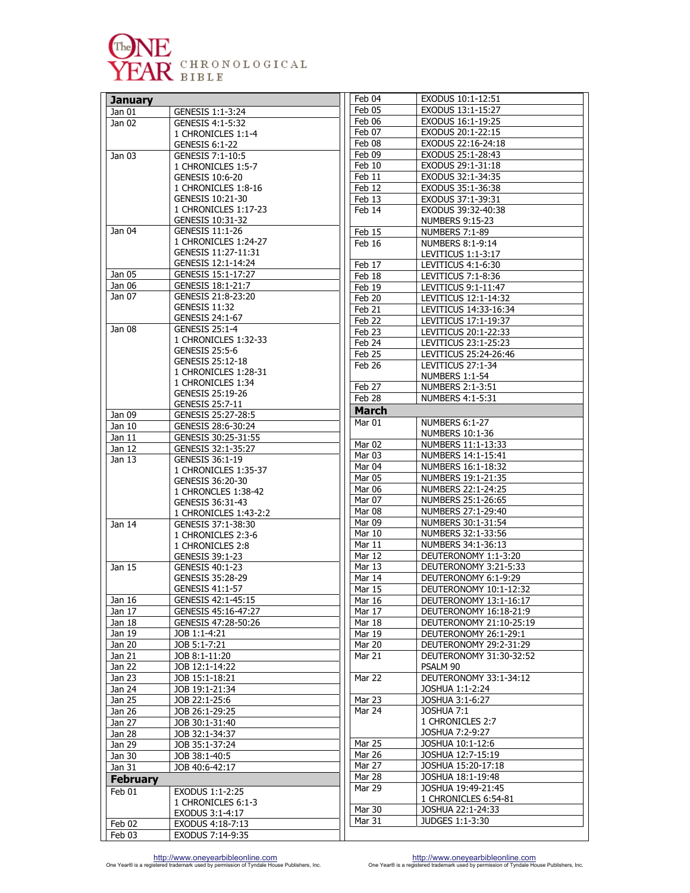

| <b>January</b>  |                                             | Feb 04           | EXODUS 10:1-12:51                             |
|-----------------|---------------------------------------------|------------------|-----------------------------------------------|
| Jan 01          | GENESIS 1:1-3:24                            | Feb 05           | EXODUS 13:1-15:27                             |
| Jan 02          | GENESIS 4:1-5:32                            | Feb 06           | EXODUS 16:1-19:25                             |
|                 | 1 CHRONICLES 1:1-4                          | Feb 07           | EXODUS 20:1-22:15                             |
|                 | GENESIS 6:1-22                              | Feb 08           | EXODUS 22:16-24:18                            |
| Jan 03          | GENESIS 7:1-10:5                            | Feb 09           | EXODUS 25:1-28:43                             |
|                 | 1 CHRONICLES 1:5-7                          | Feb 10           | EXODUS 29:1-31:18                             |
|                 | GENESIS 10:6-20                             | Feb 11           | EXODUS 32:1-34:35                             |
|                 | 1 CHRONICLES 1:8-16                         | Feb 12           | EXODUS 35:1-36:38                             |
|                 | GENESIS 10:21-30                            | Feb 13           | EXODUS 37:1-39:31                             |
|                 | 1 CHRONICLES 1:17-23                        | Feb 14           | EXODUS 39:32-40:38                            |
|                 | GENESIS 10:31-32                            |                  | <b>NUMBERS 9:15-23</b>                        |
| Jan 04          | GENESIS 11:1-26                             | Feb 15           | <b>NUMBERS 7:1-89</b>                         |
|                 | 1 CHRONICLES 1:24-27<br>GENESIS 11:27-11:31 | Feb 16           | NUMBERS 8:1-9:14                              |
|                 | GENESIS 12:1-14:24                          |                  | LEVITICUS 1:1-3:17                            |
| Jan 05          | GENESIS 15:1-17:27                          | Feb 17           | LEVITICUS 4:1-6:30                            |
| Jan 06          | GENESIS 18:1-21:7                           | Feb 18           | LEVITICUS 7:1-8:36                            |
| Jan 07          | GENESIS 21:8-23:20                          | Feb 19           | LEVITICUS 9:1-11:47                           |
|                 | <b>GENESIS 11:32</b>                        | Feb 20           | LEVITICUS 12:1-14:32<br>LEVITICUS 14:33-16:34 |
|                 | GENESIS 24:1-67                             | Feb 21           | LEVITICUS 17:1-19:37                          |
| Jan 08          | GENESIS 25:1-4                              | Feb 22           |                                               |
|                 | 1 CHRONICLES 1:32-33                        | Feb 23           | LEVITICUS 20:1-22:33                          |
|                 | GENESIS 25:5-6                              | Feb 24<br>Feb 25 | LEVITICUS 23:1-25:23<br>LEVITICUS 25:24-26:46 |
|                 | GENESIS 25:12-18                            | Feb 26           | LEVITICUS 27:1-34                             |
|                 | 1 CHRONICLES 1:28-31                        |                  | NUMBERS 1:1-54                                |
|                 | 1 CHRONICLES 1:34                           | Feb 27           | NUMBERS 2:1-3:51                              |
|                 | GENESIS 25:19-26                            | Feb 28           | NUMBERS 4:1-5:31                              |
|                 | GENESIS 25:7-11                             |                  |                                               |
| Jan 09          | GENESIS 25:27-28:5                          | <b>March</b>     |                                               |
| Jan 10          | GENESIS 28:6-30:24                          | Mar 01           | NUMBERS 6:1-27                                |
| Jan 11          | GENESIS 30:25-31:55                         | Mar 02           | NUMBERS 10:1-36<br>NUMBERS 11:1-13:33         |
| Jan 12          | GENESIS 32:1-35:27                          | Mar 03           | NUMBERS 14:1-15:41                            |
| Jan 13          | GENESIS 36:1-19                             | Mar 04           | NUMBERS 16:1-18:32                            |
|                 | 1 CHRONICLES 1:35-37                        | Mar 05           | NUMBERS 19:1-21:35                            |
|                 | GENESIS 36:20-30                            | Mar 06           | NUMBERS 22:1-24:25                            |
|                 | 1 CHRONCLES 1:38-42                         | Mar 07           | NUMBERS 25:1-26:65                            |
|                 | GENESIS 36:31-43<br>1 CHRONICLES 1:43-2:2   | Mar 08           | NUMBERS 27:1-29:40                            |
| Jan 14          | GENESIS 37:1-38:30                          | Mar 09           | NUMBERS 30:1-31:54                            |
|                 | 1 CHRONICLES 2:3-6                          | Mar 10           | NUMBERS 32:1-33:56                            |
|                 | 1 CHRONICLES 2:8                            | Mar 11           | NUMBERS 34:1-36:13                            |
|                 | GENESIS 39:1-23                             | Mar 12           | DEUTERONOMY 1:1-3:20                          |
| Jan 15          | GENESIS 40:1-23                             | Mar 13           | DEUTERONOMY 3:21-5:33                         |
|                 | GENESIS 35:28-29                            | Mar 14           | DEUTERONOMY 6:1-9:29                          |
|                 | GENESIS 41:1-57                             | Mar 15           | DEUTERONOMY 10:1-12:32                        |
| Jan 16          | GENESIS 42:1-45:15                          | Mar 16           | DEUTERONOMY 13:1-16:17                        |
| Jan 17          | GENESIS 45:16-47:27                         | Mar 17           | DEUTERONOMY 16:18-21:9                        |
| Jan 18          | GENESIS 47:28-50:26                         | Mar 18           | DEUTERONOMY 21:10-25:19                       |
| Jan 19          | JOB 1:1-4:21                                | Mar 19           | DEUTERONOMY 26:1-29:1                         |
| Jan 20          | JOB 5:1-7:21                                | Mar 20           | DEUTERONOMY 29:2-31:29                        |
| Jan 21          | JOB 8:1-11:20                               | Mar 21           | DEUTERONOMY 31:30-32:52                       |
| Jan 22          | JOB 12:1-14:22                              |                  | PSALM 90                                      |
| Jan 23          | JOB 15:1-18:21                              | Mar 22           | DEUTERONOMY 33:1-34:12                        |
| Jan 24          | JOB 19:1-21:34                              |                  | JOSHUA 1:1-2:24                               |
| Jan 25          | JOB 22:1-25:6                               | Mar 23           | JOSHUA 3:1-6:27                               |
| Jan 26          | JOB 26:1-29:25                              | Mar 24           | JOSHUA 7:1                                    |
| Jan 27          | JOB 30:1-31:40                              |                  | 1 CHRONICLES 2:7                              |
| Jan 28          | JOB 32:1-34:37                              |                  | JOSHUA 7:2-9:27                               |
| Jan 29          | JOB 35:1-37:24                              | Mar 25           | JOSHUA 10:1-12:6                              |
| Jan 30          | JOB 38:1-40:5                               | Mar 26           | JOSHUA 12:7-15:19                             |
| Jan 31          | JOB 40:6-42:17                              | Mar 27           | JOSHUA 15:20-17:18                            |
| <b>February</b> |                                             | Mar 28           | JOSHUA 18:1-19:48                             |
| Feb 01          | EXODUS 1:1-2:25                             | Mar 29           | JOSHUA 19:49-21:45                            |
|                 | 1 CHRONICLES 6:1-3                          |                  | 1 CHRONICLES 6:54-81                          |
|                 | EXODUS 3:1-4:17                             | Mar 30           | JOSHUA 22:1-24:33                             |
| Feb 02          | EXODUS 4:18-7:13                            | Mar 31           | JUDGES 1:1-3:30                               |
| Feb 03          | EXODUS 7:14-9:35                            |                  |                                               |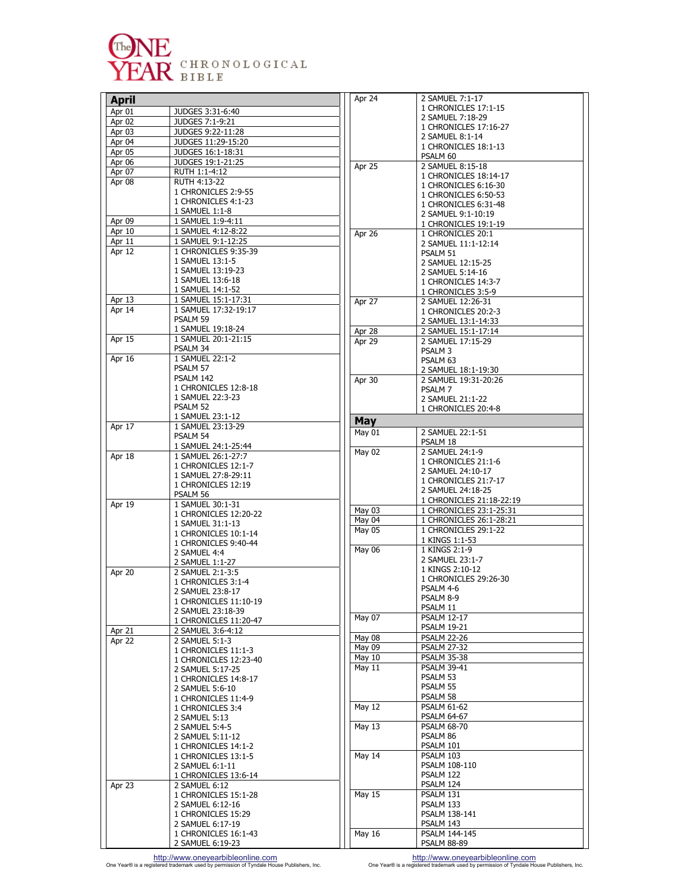

| <b>April</b>      |                                       | Apr 24        | 2                 |
|-------------------|---------------------------------------|---------------|-------------------|
| Apr 01            | JUDGES 3:31-6:40                      |               | 1<br>2            |
| Apr 02            | JUDGES 7:1-9:21                       |               | 1                 |
| Apr 03            | JUDGES 9:22-11:28                     |               | $\overline{2}$    |
| Apr 04            | JUDGES 11:29-15:20                    |               | 1                 |
| Apr 05            | JUDGES 16:1-18:31                     |               | P.                |
| Apr 06            | JUDGES 19:1-21:25                     | Apr 25        | 2                 |
| Apr 07            | RUTH 1:1-4:12                         |               | 1                 |
| Apr 08            | RUTH 4:13-22<br>1 CHRONICLES 2:9-55   |               | 1                 |
|                   | 1 CHRONICLES 4:1-23                   |               | 1                 |
|                   | 1 SAMUEL 1:1-8                        |               | $\mathbf{1}$      |
| Apr 09            | 1 SAMUEL 1:9-4:11                     |               | 2                 |
| Apr 10            | 1 SAMUEL 4:12-8:22                    |               | 1<br>$\mathbf{1}$ |
| Apr 11            | 1 SAMUEL 9:1-12:25                    | Apr 26        | 2                 |
| Apr 12            | 1 CHRONICLES 9:35-39                  |               | P.                |
|                   | 1 SAMUEL 13:1-5                       |               | 2                 |
|                   | 1 SAMUEL 13:19-23                     |               | 2                 |
|                   | 1 SAMUEL 13:6-18                      |               | 1                 |
|                   | 1 SAMUEL 14:1-52                      |               | 1                 |
| Apr <sub>13</sub> | 1 SAMUEL 15:1-17:31                   | Apr 27        | 2                 |
| Apr 14            | 1 SAMUEL 17:32-19:17                  |               | 1                 |
|                   | PSALM 59                              |               | 2                 |
|                   | 1 SAMUEL 19:18-24                     | Apr 28        | $\overline{2}$    |
| Apr 15            | 1 SAMUEL 20:1-21:15                   | Apr 29        | 2                 |
|                   | PSALM 34                              |               | P.                |
| Apr 16            | 1 SAMUEL 22:1-2<br>PSALM 57           |               | P.                |
|                   | PSALM 142                             |               | 2                 |
|                   | 1 CHRONICLES 12:8-18                  | Apr 30        | 2                 |
|                   | 1 SAMUEL 22:3-23                      |               | P.<br>2           |
|                   | PSALM 52                              |               | 1                 |
|                   | 1 SAMUEL 23:1-12                      | May           |                   |
| Apr 17            | 1 SAMUEL 23:13-29                     | $May$ 01      |                   |
|                   | PSALM 54                              |               | 2<br>P.           |
|                   | 1 SAMUEL 24:1-25:44                   | <b>May 02</b> | 2                 |
| Apr 18            | 1 SAMUEL 26:1-27:7                    |               | $\mathbf{1}$      |
|                   | 1 CHRONICLES 12:1-7                   |               | 2                 |
|                   | 1 SAMUEL 27:8-29:11                   |               | 1                 |
|                   | 1 CHRONICLES 12:19                    |               | 2                 |
| Apr 19            | PSALM 56<br>1 SAMUEL 30:1-31          |               | 1                 |
|                   | 1 CHRONICLES 12:20-22                 | May 03        | 1                 |
|                   | 1 SAMUEL 31:1-13                      | May 04        | 1                 |
|                   | 1 CHRONICLES 10:1-14                  | May 05        | 1                 |
|                   | 1 CHRONICLES 9:40-44                  |               | 1                 |
|                   | 2 SAMUEL 4:4                          | May 06        | 1                 |
|                   | 2 SAMUEL 1:1-27                       |               | 2                 |
| Apr 20            | 2 SAMUEL 2:1-3:5                      |               | $\mathbf{1}$      |
|                   | 1 CHRONICLES 3:1-4                    |               | 1<br>P.           |
|                   | 2 SAMUEL 23:8-17                      |               | P.                |
|                   | 1 CHRONICLES 11:10-19                 |               | P.                |
|                   | 2 SAMUEL 23:18-39                     | May 07        | P.                |
|                   | 1 CHRONICLES 11:20-47                 |               | P.                |
| Apr 21<br>Apr 22  | 2 SAMUEL 3:6-4:12<br>2 SAMUEL 5:1-3   | May 08        | P.                |
|                   | 1 CHRONICLES 11:1-3                   | May 09        | P.                |
|                   | 1 CHRONICLES 12:23-40                 | May 10        | P.                |
|                   | 2 SAMUEL 5:17-25                      | May 11        | P.                |
|                   | 1 CHRONICLES 14:8-17                  |               | P.                |
|                   | 2 SAMUEL 5:6-10                       |               | P.                |
|                   | 1 CHRONICLES 11:4-9                   |               | P.                |
|                   | 1 CHRONICLES 3:4                      | May 12        | P.                |
|                   | 2 SAMUEL 5:13                         |               | P.                |
|                   | 2 SAMUEL 5:4-5                        | May 13        | P.                |
|                   | 2 SAMUEL 5:11-12                      |               | P.                |
|                   | 1 CHRONICLES 14:1-2                   |               | P.<br>P.          |
|                   | 1 CHRONICLES 13:1-5                   | May 14        | P.                |
|                   | 2 SAMUEL 6:1-11                       |               | P.                |
|                   | 1 CHRONICLES 13:6-14<br>2 SAMUEL 6:12 |               | P.                |
| Apr 23            | 1 CHRONICLES 15:1-28                  | May 15        | P.                |
|                   | 2 SAMUEL 6:12-16                      |               | P.                |
|                   | 1 CHRONICLES 15:29                    |               | P.                |
|                   | 2 SAMUEL 6:17-19                      |               | P.                |
|                   | 1 CHRONICLES 16:1-43                  | May 16        | P.                |
|                   | 2 SAMUEL 6:19-23                      |               | P.                |

| Apr 24        | 2 SAMUEL 7:1-17                     |
|---------------|-------------------------------------|
|               | 1 CHRONICLES 17:1-15                |
|               |                                     |
|               | 2 SAMUEL 7:18-29                    |
|               | 1 CHRONICLES 17:16-27               |
|               | 2 SAMUEL 8:1-14                     |
|               |                                     |
|               | 1 CHRONICLES 18:1-13                |
|               | PSALM 60                            |
|               |                                     |
| Apr 25        | 2 SAMUEL 8:15-18                    |
|               | 1 CHRONICLES 18:14-17               |
|               |                                     |
|               | 1 CHRONICLES 6:16-30                |
|               | 1 CHRONICLES 6:50-53                |
|               |                                     |
|               | 1 CHRONICLES 6:31-48                |
|               | 2 SAMUEL 9:1-10:19                  |
|               | 1 CHRONICLES 19:1-19                |
|               |                                     |
| Apr 26        | 1 CHRONICLES 20:1                   |
|               | 2 SAMUEL 11:1-12:14                 |
|               |                                     |
|               | PSALM 51                            |
|               | 2 SAMUEL 12:15-25                   |
|               | 2 SAMUEL 5:14-16                    |
|               |                                     |
|               | 1 CHRONICLES 14:3-7                 |
|               | 1 CHRONICLES 3:5-9                  |
|               |                                     |
| Apr 27        | 2 SAMUEL 12:26-31                   |
|               | 1 CHRONICLES 20:2-3                 |
|               |                                     |
|               | 2 SAMUEL 13:1-14:33                 |
| Apr 28        | 2 SAMUEL 15:1-17:14                 |
| Apr 29        | 2 SAMUEL 17:15-29                   |
|               |                                     |
|               | <b>PSALM 3</b>                      |
|               | PSALM 63                            |
|               |                                     |
|               | 2 SAMUEL 18:1-19:30                 |
| Apr 30        | 2 SAMUEL 19:31-20:26                |
|               | PSALM <sub>7</sub>                  |
|               |                                     |
|               | 2 SAMUEL 21:1-22                    |
|               | 1 CHRONICLES 20:4-8                 |
|               |                                     |
| May           |                                     |
| May 01        | 2 SAMUEL 22:1-51                    |
|               |                                     |
|               | PSALM 18                            |
| May 02        | 2 SAMUEL 24:1-9                     |
|               |                                     |
|               |                                     |
|               | 1 CHRONICLES 21:1-6                 |
|               |                                     |
|               | 2 SAMUEL 24:10-17                   |
|               | 1 CHRONICLES 21:7-17                |
|               | 2 SAMUEL 24:18-25                   |
|               |                                     |
|               | 1 CHRONICLES 21:18-22:19            |
| May 03        | 1 CHRONICLES 23:1-25:31             |
| May 04        | 1 CHRONICLES 26:1-28:21             |
|               |                                     |
| May 05        | 1 CHRONICLES 29:1-22                |
|               | 1 KINGS 1:1-53                      |
|               |                                     |
| <b>May 06</b> | 1 KINGS 2:1-9                       |
|               | 2 SAMUEL 23:1-7                     |
|               | 1 KINGS 2:10-12                     |
|               |                                     |
|               | 1 CHRONICLES 29:26-30               |
|               | PSALM 4-6                           |
|               | PSALM 8-9                           |
|               |                                     |
|               | PSALM 11                            |
| May 07        | PSALM 12-17                         |
|               | PSALM 19-21                         |
|               |                                     |
| May 08        | <b>PSALM 22-26</b>                  |
| May 09        | <b>PSALM 27-32</b>                  |
|               |                                     |
| May 10        | <b>PSALM 35-38</b>                  |
| May 11        | <b>PSALM 39-41</b>                  |
|               | PSALM 53                            |
|               |                                     |
|               | PSALM 55                            |
|               | PSALM 58                            |
| May 12        | <b>PSALM 61-62</b>                  |
|               |                                     |
|               | <b>PSALM 64-67</b>                  |
| May 13        | <b>PSALM 68-70</b>                  |
|               |                                     |
|               | PSALM 86                            |
|               | PSALM 101                           |
|               | PSALM 103                           |
| May 14        |                                     |
|               | PSALM 108-110                       |
|               | PSALM 122                           |
|               |                                     |
|               | PSALM 124                           |
| May 15        | PSALM 131                           |
|               |                                     |
|               | PSALM 133                           |
|               | PSALM 138-141                       |
|               |                                     |
|               | PSALM 143                           |
| May 16        | PSALM 144-145<br><b>PSALM 88-89</b> |

http://www.oneyearbibleonline.com by http://www.oneyearbibleonline.com http://www.oneyearbibleonline.com http://www.oneyearbibleonline.com http://www.oneyearbibleonline.com by permission of Tyndale House Publishers, Inc. o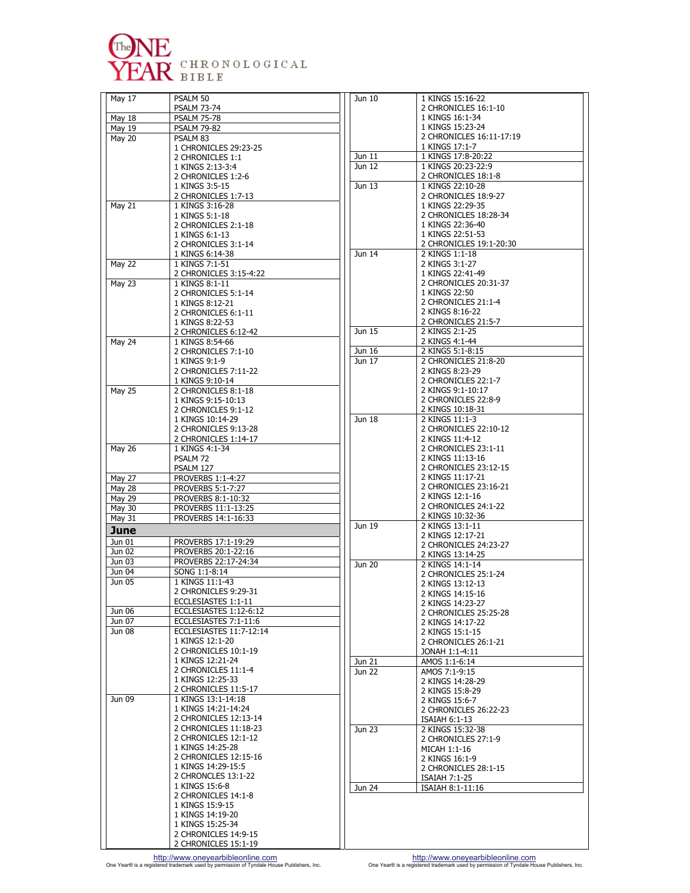

| May 17           | PSALM 50<br><b>PSALM 73-74</b>                 | Jun 10              |
|------------------|------------------------------------------------|---------------------|
| May 18           | <b>PSALM 75-78</b>                             |                     |
| May 19           | <b>PSALM 79-82</b>                             |                     |
| <b>May 20</b>    | PSALM <sub>83</sub>                            |                     |
|                  | 1 CHRONICLES 29:23-25                          |                     |
|                  | 2 CHRONICLES 1:1                               | Jun 11              |
|                  | 1 KINGS 2:13-3:4                               | Jun 12              |
|                  | 2 CHRONICLES 1:2-6<br>1 KINGS 3:5-15           | Jun 13              |
|                  | 2 CHRONICLES 1:7-13                            |                     |
| <b>May 21</b>    | 1 KINGS 3:16-28                                |                     |
|                  | 1 KINGS 5:1-18                                 |                     |
|                  | 2 CHRONICLES 2:1-18                            |                     |
|                  | 1 KINGS 6:1-13                                 |                     |
|                  | 2 CHRONICLES 3:1-14                            | Jun $\overline{14}$ |
| <b>May 22</b>    | 1 KINGS 6:14-38<br>1 KINGS 7:1-51              |                     |
|                  | 2 CHRONICLES 3:15-4:22                         |                     |
| May 23           | 1 KINGS 8:1-11                                 |                     |
|                  | 2 CHRONICLES 5:1-14                            |                     |
|                  | 1 KINGS 8:12-21                                |                     |
|                  | 2 CHRONICLES 6:1-11                            |                     |
|                  | 1 KINGS 8:22-53                                | Jun 15              |
| May 24           | 2 CHRONICLES 6:12-42<br>1 KINGS 8:54-66        |                     |
|                  | 2 CHRONICLES 7:1-10                            | Jun 16              |
|                  | 1 KINGS 9:1-9                                  | Jun 17              |
|                  | 2 CHRONICLES 7:11-22                           |                     |
|                  | 1 KINGS 9:10-14                                |                     |
| May $25$         | 2 CHRONICLES 8:1-18                            |                     |
|                  | 1 KINGS 9:15-10:13                             |                     |
|                  | 2 CHRONICLES 9:1-12<br>1 KINGS 10:14-29        | Jun 18              |
|                  | 2 CHRONICLES 9:13-28                           |                     |
|                  | 2 CHRONICLES 1:14-17                           |                     |
| <b>May 26</b>    | 1 KINGS 4:1-34                                 |                     |
|                  | PSALM 72                                       |                     |
|                  | PSALM 127                                      |                     |
| <b>May 27</b>    | PROVERBS 1:1-4:27                              |                     |
| May 28           | PROVERBS 5:1-7:27                              |                     |
| May 29<br>May 30 | PROVERBS 8:1-10:32<br>PROVERBS 11:1-13:25      |                     |
| May 31           | PROVERBS 14:1-16:33                            |                     |
| June             |                                                | Jun 19              |
| Jun 01           | PROVERBS 17:1-19:29                            |                     |
| Jun 02           | PROVERBS 20:1-22:16                            |                     |
| Jun 03           | PROVERBS 22:17-24:34                           | <b>Jun 20</b>       |
| Jun 04           | SONG 1:1-8:14                                  |                     |
| Jun 05           |                                                |                     |
|                  | 1 KINGS 11:1-43                                |                     |
|                  | 2 CHRONICLES 9:29-31                           |                     |
|                  | ECCLESIASTES 1:1-11                            |                     |
| Jun 06           | ECCLESIASTES 1:12-6:12                         |                     |
| Jun 07           | ECCLESIASTES 7:1-11:6                          |                     |
| Jun 08           | ECCLESIASTES 11:7-12:14                        |                     |
|                  | 1 KINGS 12:1-20<br>2 CHRONICLES 10:1-19        |                     |
|                  | 1 KINGS 12:21-24                               | Jun 21              |
|                  | 2 CHRONICLES 11:1-4                            | Jun 22              |
|                  | 1 KINGS 12:25-33                               |                     |
|                  | 2 CHRONICLES 11:5-17                           |                     |
| Jun 09           | 1 KINGS 13:1-14:18                             |                     |
|                  | 1 KINGS 14:21-14:24                            |                     |
|                  | 2 CHRONICLES 12:13-14<br>2 CHRONICLES 11:18-23 |                     |
|                  | 2 CHRONICLES 12:1-12                           | Jun 23              |
|                  | 1 KINGS 14:25-28                               |                     |
|                  | 2 CHRONICLES 12:15-16                          |                     |
|                  | 1 KINGS 14:29-15:5                             |                     |
|                  | 2 CHRONCLES 13:1-22                            |                     |
|                  | 1 KINGS 15:6-8                                 | Jun 24              |
|                  | 2 CHRONICLES 14:1-8                            |                     |
|                  | 1 KINGS 15:9-15<br>1 KINGS 14:19-20            |                     |
|                  | 1 KINGS 15:25-34                               |                     |
|                  | 2 CHRONICLES 14:9-15                           |                     |

1 KINGS 15:16-22 2 CHRONICLES 16:1-10 1 KINGS 16:1-34 1 KINGS 15:23-24 2 CHRONICLES 16:11-17:19 1 KINGS 17:1-7 1 KINGS 17:8-20:22 1 KINGS 20:23-22:9 2 CHRONICLES 18:1-8 1 KINGS 22:10-28 2 CHRONICLES 18:9-27 1 KINGS 22:29-35 2 CHRONICLES 18:28-34 1 KINGS 22:36-40 1 KINGS 22:51-53 2 CHRONICLES 19:1-20:30 2 KINGS 1:1-18 2 KINGS 3:1-27 1 KINGS 22:41-49 2 CHRONICLES 20:31-37 1 KINGS 22:50 2 CHRONICLES 21:1-4 2 KINGS 8:16-22 2 CHRONICLES 21:5-7 2 KINGS 2:1-25 2 KINGS 4:1-44 2 KINGS 5:1-8:15 2 CHRONICLES 21:8-20 2 KINGS 8:23-29 2 CHRONICLES 22:1-7 2 KINGS 9:1-10:17 2 CHRONICLES 22:8-9 2 KINGS 10:18-31 2 KINGS 11:1-3 2 CHRONICLES 22:10-12 2 KINGS 11:4-12 2 CHRONICLES 23:1-11 2 KINGS 11:13-16 2 CHRONICLES 23:12-15 2 KINGS 11:17-21 2 CHRONICLES 23:16-21 2 KINGS 12:1-16 2 CHRONICLES 24:1-22 2 KINGS 10:32-36 2 KINGS 13:1-11 2 KINGS 12:17-21 2 CHRONICLES 24:23-27 2 KINGS 13:14-25 2 KINGS 14:1-14 2 CHRONICLES 25:1-24 2 KINGS 13:12-13 2 KINGS 14:15-16 2 KINGS 14:23-27 2 CHRONICLES 25:25-28 2 KINGS 14:17-22 2 KINGS 15:1-15 2 CHRONICLES 26:1-21 JONAH 1:1-4:11 AMOS 1:1-6:14 AMOS 7:1-9:15 2 KINGS 14:28-29 2 KINGS 15:8-29 2 KINGS 15:6-7 2 CHRONICLES 26:22-23 ISAIAH 6:1-13 2 KINGS 15:32-38 2 CHRONICLES 27:1-9 MICAH 1:1-16 2 KINGS 16:1-9 2 CHRONICLES 28:1-15 ISAIAH 7:1-25 ISAIAH 8:1-11:16

http://www.oneyearbibleonline.com by http://www.oneyearbibleonline.com http://www.oneyearbibleonline.com http://www.oneyearbibleonline.com http://www.oneyearbibleonline.com by permission of Tyndale House Publishers, Inc. o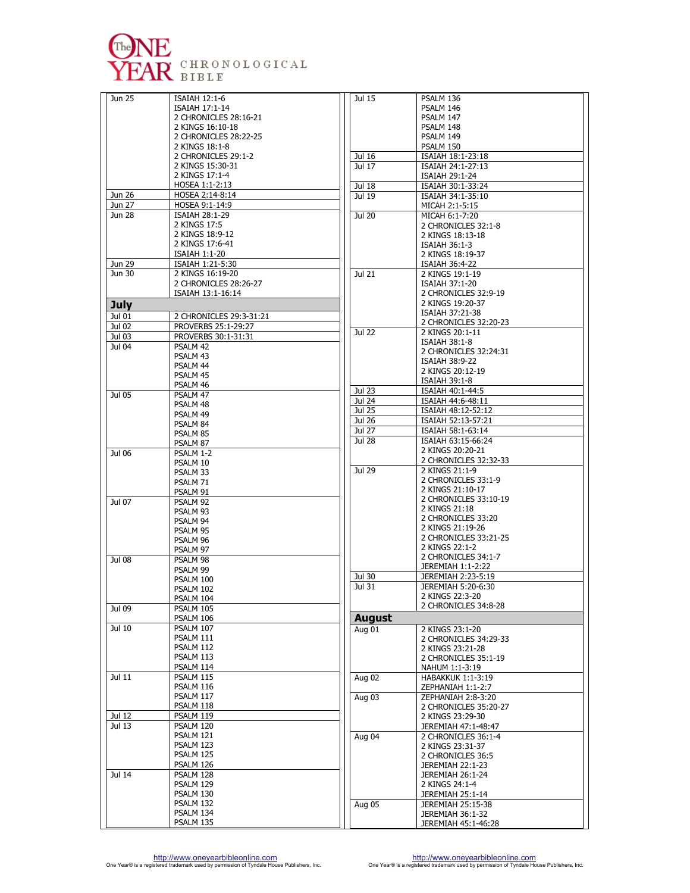

| Jun 25           | ISAIAH 12:1-6                             | Jul 15           |
|------------------|-------------------------------------------|------------------|
|                  | ISAIAH 17:1-14                            |                  |
|                  | 2 CHRONICLES 28:16-21<br>2 KINGS 16:10-18 |                  |
|                  | 2 CHRONICLES 28:22-25                     |                  |
|                  | 2 KINGS 18:1-8                            |                  |
|                  | 2 CHRONICLES 29:1-2                       | Jul 16           |
|                  | 2 KINGS 15:30-31                          | Jul 17           |
|                  | 2 KINGS 17:1-4                            |                  |
|                  | HOSEA 1:1-2:13                            | Jul 18           |
| Jun 26           | HOSEA 2:14-8:14                           | Jul 19           |
| Jun 27           | HOSEA 9:1-14:9                            |                  |
| Jun 28           | ISAIAH 28:1-29                            | Jul 20           |
|                  | 2 KINGS 17:5                              |                  |
|                  | 2 KINGS 18:9-12                           |                  |
|                  | 2 KINGS 17:6-41                           |                  |
| Jun $29$         | ISAIAH 1:1-20<br>ISAIAH 1:21-5:30         |                  |
| Jun 30           | 2 KINGS 16:19-20                          | Jul 21           |
|                  | 2 CHRONICLES 28:26-27                     |                  |
|                  | ISAIAH 13:1-16:14                         |                  |
| <b>July</b>      |                                           |                  |
| Jul 01           | 2 CHRONICLES 29:3-31:21                   |                  |
| Jul 02           | PROVERBS 25:1-29:27                       |                  |
| Jul 03           | PROVERBS 30:1-31:31                       | Jul 22           |
| Jul 04           | PSALM 42                                  |                  |
|                  | PSALM 43                                  |                  |
|                  | PSALM 44                                  |                  |
|                  | PSALM 45                                  |                  |
|                  | PSALM 46                                  |                  |
| Jul 05           | PSALM 47                                  | Jul 23           |
|                  | PSALM 48                                  | Jul 24<br>Jul 25 |
|                  | PSALM 49                                  | Jul 26           |
|                  | PSALM 84                                  | Jul 27           |
|                  | PSALM 85                                  | <b>Jul 28</b>    |
|                  | PSALM 87                                  |                  |
| Jul 06           | PSALM 1-2<br>PSALM 10                     |                  |
|                  | PSALM 33                                  | Jul 29           |
|                  | PSALM 71                                  |                  |
|                  | PSALM 91                                  |                  |
| Jul 07           | PSALM 92                                  |                  |
|                  | PSALM 93                                  |                  |
|                  | PSALM 94                                  |                  |
|                  | PSALM 95                                  |                  |
|                  | PSALM 96                                  |                  |
|                  | PSALM 97                                  |                  |
| Jul 08           | PSALM 98                                  |                  |
|                  | PSALM 99<br>PSALM 100                     | Jul 30           |
|                  | PSALM 102                                 | Jul 31           |
|                  | PSALM 104                                 |                  |
| Jul 09           | PSALM 105                                 |                  |
|                  | PSALM 106                                 | <b>August</b>    |
| Jul 10           | PSALM 107                                 | Aug 01           |
|                  | PSALM 111                                 |                  |
|                  | PSALM 112                                 |                  |
|                  | PSALM 113                                 |                  |
|                  | PSALM 114                                 |                  |
| Jul 11           | PSALM 115                                 | <b>Aug 02</b>    |
|                  | PSALM 116                                 |                  |
|                  | PSALM 117<br>PSALM 118                    | Aug 03           |
|                  | PSALM 119                                 |                  |
| Jul 12<br>Jul 13 | PSALM 120                                 |                  |
|                  | PSALM 121                                 | Aug 04           |
|                  | PSALM 123                                 |                  |
|                  | PSALM 125                                 |                  |
|                  | PSALM 126                                 |                  |
| Jul 14           | PSALM 128                                 |                  |
|                  | PSALM 129                                 |                  |
|                  |                                           |                  |
|                  | PSALM 130                                 |                  |
|                  | PSALM 132                                 | Aug 05           |
|                  | PSALM 134<br>PSALM 135                    |                  |

| Jul 15        |                                           |
|---------------|-------------------------------------------|
|               | PSALM 136                                 |
|               | PSALM 146                                 |
|               | PSALM 147                                 |
|               | PSALM 148                                 |
|               | PSALM 149                                 |
|               | PSALM 150                                 |
| Jul 16        | ISAIAH 18:1-23:18                         |
| Jul 17        | ISAIAH 24:1-27:13                         |
|               | ISAIAH 29:1-24                            |
| Jul 18        | ISAIAH 30:1-33:24                         |
| Jul 19        | ISAIAH 34:1-35:10                         |
|               | MICAH 2:1-5:15                            |
| Jul 20        | MICAH 6:1-7:20                            |
|               | 2 CHRONICLES 32:1-8                       |
|               | 2 KINGS 18:13-18                          |
|               | <b>ISAIAH 36:1-3</b>                      |
|               | 2 KINGS 18:19-37                          |
|               | ISAIAH 36:4-22                            |
| Jul 21        | 2 KINGS 19:1-19                           |
|               | ISAIAH 37:1-20                            |
|               | 2 CHRONICLES 32:9-19                      |
|               | 2 KINGS 19:20-37                          |
|               | ISAIAH 37:21-38                           |
|               | 2 CHRONICLES 32:20-23                     |
| <b>Jul 22</b> | 2 KINGS 20:1-11                           |
|               | <b>ISAIAH 38:1-8</b>                      |
|               | 2 CHRONICLES 32:24:31                     |
|               | <b>ISAIAH 38:9-22</b>                     |
|               | 2 KINGS 20:12-19                          |
|               | ISAIAH 39:1-8                             |
| Jul 23        | ISAIAH 40:1-44:5                          |
| Jul 24        | ISAIAH 44:6-48:11                         |
| Jul 25        | ISAIAH 48:12-52:12                        |
| <b>Jul 26</b> | ISAIAH 52:13-57:21                        |
| Jul 27        | ISAIAH 58:1-63:14                         |
| <b>Jul 28</b> | ISAIAH 63:15-66:24                        |
|               | 2 KINGS 20:20-21                          |
| Jul 29        | 2 CHRONICLES 32:32-33                     |
|               | 2 KINGS 21:1-9                            |
|               | 2 CHRONICLES 33:1-9<br>2 KINGS 21:10-17   |
|               | 2 CHRONICLES 33:10-19                     |
|               | 2 KINGS 21:18                             |
|               | 2 CHRONICLES 33:20                        |
|               | 2 KINGS 21:19-26                          |
|               | 2 CHRONICLES 33:21-25                     |
|               |                                           |
|               |                                           |
|               | 2 KINGS 22:1-2                            |
|               | 2 CHRONICLES 34:1-7                       |
|               | JEREMIAH 1:1-2:22                         |
| Jul 30        | JEREMIAH 2:23-5:19<br>JEREMIAH 5:20-6:30  |
| Jul 31        | 2 KINGS 22:3-20                           |
|               | 2 CHRONICLES 34:8-28                      |
|               |                                           |
| August        |                                           |
| Aug 01        | 2 KINGS 23:1-20                           |
|               | 2 CHRONICLES 34:29-33                     |
|               | 2 KINGS 23:21-28                          |
|               | 2 CHRONICLES 35:1-19                      |
|               | NAHUM 1:1-3:19                            |
| Aug 02        | <b>HABAKKUK 1:1-3:19</b>                  |
|               | ZEPHANIAH 1:1-2:7                         |
| Aug 03        | ZEPHANIAH 2:8-3:20                        |
|               | 2 CHRONICLES 35:20-27<br>2 KINGS 23:29-30 |
|               | JEREMIAH 47:1-48:47                       |
|               | 2 CHRONICLES 36:1-4                       |
| Aug $04$      | 2 KINGS 23:31-37                          |
|               | 2 CHRONICLES 36:5                         |
|               | <b>JEREMIAH 22:1-23</b>                   |
|               | <b>JEREMIAH 26:1-24</b>                   |
|               | 2 KINGS 24:1-4                            |
|               | JEREMIAH 25:1-14                          |
| Aug 05        | <b>JEREMIAH 25:15-38</b>                  |
|               | JEREMIAH 36:1-32                          |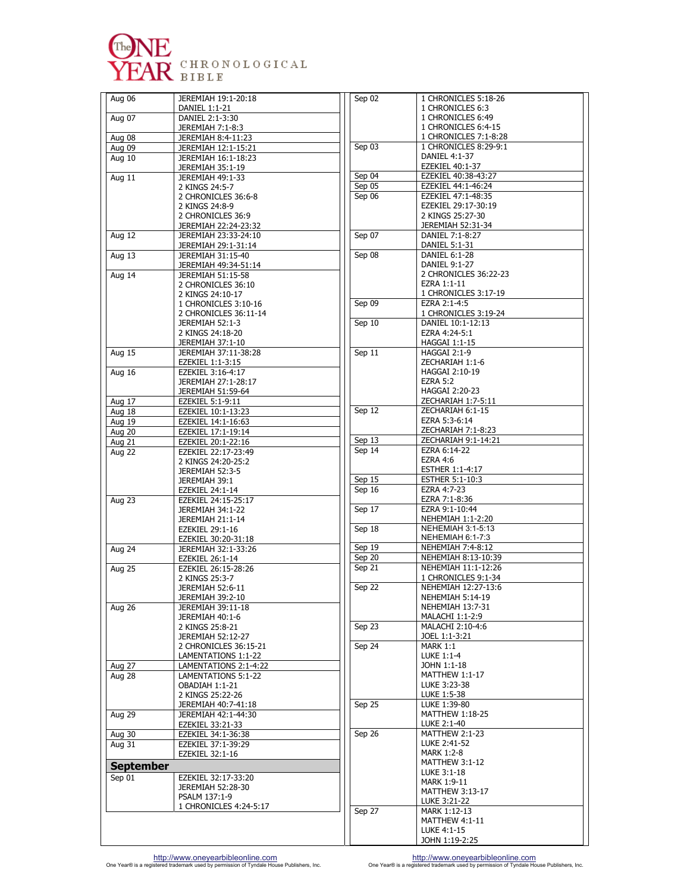

| Aug 06                  | JEREMIAH 19:1-20:18                            | Sep 02           | 1 CHRONICLES 5:18-26                       |
|-------------------------|------------------------------------------------|------------------|--------------------------------------------|
|                         | DANIEL 1:1-21                                  |                  | 1 CHRONICLES 6:3<br>1 CHRONICLES 6:49      |
| Aug 07                  | DANIEL 2:1-3:30<br>JEREMIAH 7:1-8:3            |                  | 1 CHRONICLES 6:4-15                        |
| Aug 08                  | JEREMIAH 8:4-11:23                             |                  | 1 CHRONICLES 7:1-8:28                      |
| Aug 09                  | JEREMIAH 12:1-15:21                            | Sep 03           | 1 CHRONICLES 8:29-9:1                      |
| Aug 10                  | JEREMIAH 16:1-18:23                            |                  | DANIEL 4:1-37                              |
|                         | JEREMIAH 35:1-19                               |                  | EZEKIEL 40:1-37                            |
| Aug 11                  | JEREMIAH 49:1-33                               | Sep 04           | EZEKIEL 40:38-43:27                        |
|                         | 2 KINGS 24:5-7                                 | Sep 05<br>Sep 06 | EZEKIEL 44:1-46:24<br>EZEKIEL 47:1-48:35   |
|                         | 2 CHRONICLES 36:6-8<br>2 KINGS 24:8-9          |                  | EZEKIEL 29:17-30:19                        |
|                         | 2 CHRONICLES 36:9                              |                  | 2 KINGS 25:27-30                           |
|                         | JEREMIAH 22:24-23:32                           |                  | JEREMIAH 52:31-34                          |
| Aug 12                  | JEREMIAH 23:33-24:10                           | Sep 07           | DANIEL 7:1-8:27                            |
|                         | JEREMIAH 29:1-31:14                            |                  | DANIEL 5:1-31                              |
| Aug 13                  | JEREMIAH 31:15-40                              | Sep 08           | DANIEL 6:1-28                              |
| Aug 14                  | JEREMIAH 49:34-51:14<br>JEREMIAH 51:15-58      |                  | DANIEL 9:1-27<br>2 CHRONICLES 36:22-23     |
|                         | 2 CHRONICLES 36:10                             |                  | EZRA 1:1-11                                |
|                         | 2 KINGS 24:10-17                               |                  | 1 CHRONICLES 3:17-19                       |
|                         | 1 CHRONICLES 3:10-16                           | Sep 09           | EZRA 2:1-4:5                               |
|                         | 2 CHRONICLES 36:11-14                          |                  | 1 CHRONICLES 3:19-24                       |
|                         | JEREMIAH 52:1-3                                | Sep 10           | DANIEL 10:1-12:13                          |
|                         | 2 KINGS 24:18-20                               |                  | EZRA 4:24-5:1                              |
| <b>Aug 15</b>           | JEREMIAH 37:1-10<br>JEREMIAH 37:11-38:28       | Sep 11           | HAGGAI 1:1-15<br>HAGGAI 2:1-9              |
|                         | EZEKIEL 1:1-3:15                               |                  | ZECHARIAH 1:1-6                            |
| Aug 16                  | EZEKIEL 3:16-4:17                              |                  | <b>HAGGAI 2:10-19</b>                      |
|                         | JEREMIAH 27:1-28:17                            |                  | <b>EZRA 5:2</b>                            |
|                         | JEREMIAH 51:59-64                              |                  | HAGGAI 2:20-23                             |
| <b>Aug 17</b>           | EZEKIEL 5:1-9:11                               |                  | ZECHARIAH 1:7-5:11                         |
| Aug 18                  | EZEKIEL 10:1-13:23                             | Sep 12           | ZECHARIAH 6:1-15<br>EZRA 5:3-6:14          |
| Aug 19<br><b>Aug 20</b> | EZEKIEL 14:1-16:63<br>EZEKIEL 17:1-19:14       |                  | ZECHARIAH 7:1-8:23                         |
| Aug 21                  | EZEKIEL 20:1-22:16                             | Sep 13           | ZECHARIAH 9:1-14:21                        |
| <b>Aug 22</b>           | EZEKIEL 22:17-23:49                            | Sep 14           | EZRA 6:14-22                               |
|                         | 2 KINGS 24:20-25:2                             |                  | <b>EZRA 4:6</b>                            |
|                         | JEREMIAH 52:3-5                                |                  | ESTHER 1:1-4:17                            |
|                         | JEREMIAH 39:1                                  | Sep 15           | ESTHER 5:1-10:3                            |
|                         | EZEKIEL 24:1-14                                | Sep 16           | EZRA 4:7-23                                |
| <b>Aug 23</b>           | EZEKIEL 24:15-25:17<br><b>JEREMIAH 34:1-22</b> | Sep 17           | EZRA 7:1-8:36<br>EZRA 9:1-10:44            |
|                         | <b>JEREMIAH 21:1-14</b>                        |                  | NEHEMIAH 1:1-2:20                          |
|                         | EZEKIEL 29:1-16                                | Sep 18           | NEHEMIAH 3:1-5:13                          |
|                         | EZEKIEL 30:20-31:18                            |                  | NEHEMIAH 6:1-7:3                           |
| Aug 24                  | JEREMIAH 32:1-33:26                            | Sep 19           | NEHEMIAH 7:4-8:12                          |
|                         | EZEKIEL 26:1-14                                | Sep 20           | NEHEMIAH 8:13-10:39<br>NEHEMIAH 11:1-12:26 |
| <b>Aug 25</b>           | EZEKIEL 26:15-28:26<br>2 KINGS 25:3-7          | Sep 21           | 1 CHRONICLES 9:1-34                        |
|                         | <b>JEREMIAH 52:6-11</b>                        | Sep 22           | NEHEMIAH 12:27-13:6                        |
|                         | JEREMIAH 39:2-10                               |                  | NEHEMIAH 5:14-19                           |
| Aug 26                  | JEREMIAH 39:11-18                              |                  | NEHEMIAH 13:7-31                           |
|                         | JEREMIAH 40:1-6                                |                  | MALACHI 1:1-2:9                            |
|                         | 2 KINGS 25:8-21                                | Sep 23           | MALACHI 2:10-4:6                           |
|                         | JEREMIAH 52:12-27                              |                  | JOEL 1:1-3:21                              |
|                         | 2 CHRONICLES 36:15-21<br>LAMENTATIONS 1:1-22   | Sep 24           | MARK 1:1<br>LUKE 1:1-4                     |
| Aug 27                  | LAMENTATIONS 2:1-4:22                          |                  | JOHN 1:1-18                                |
| Aug 28                  | LAMENTATIONS 5:1-22                            |                  | MATTHEW 1:1-17                             |
|                         | OBADIAH 1:1-21                                 |                  | LUKE 3:23-38                               |
|                         | 2 KINGS 25:22-26                               |                  | LUKE 1:5-38                                |
|                         | JEREMIAH 40:7-41:18                            | Sep 25           | LUKE 1:39-80                               |
| <b>Aug 29</b>           | JEREMIAH 42:1-44:30                            |                  | MATTHEW 1:18-25                            |
| Aug 30                  | EZEKIEL 33:21-33<br>EZEKIEL 34:1-36:38         | Sep 26           | LUKE 2:1-40<br><b>MATTHEW 2:1-23</b>       |
| Aug 31                  | EZEKIEL 37:1-39:29                             |                  | LUKE 2:41-52                               |
|                         | EZEKIEL 32:1-16                                |                  | MARK 1:2-8                                 |
| <b>September</b>        |                                                |                  | MATTHEW 3:1-12                             |
| Sep 01                  | EZEKIEL 32:17-33:20                            |                  | LUKE 3:1-18                                |
|                         | JEREMIAH 52:28-30                              |                  | MARK 1:9-11                                |
|                         | PSALM 137:1-9                                  |                  | MATTHEW 3:13-17<br>LUKE 3:21-22            |
|                         | 1 CHRONICLES 4:24-5:17                         | Sep 27           | MARK 1:12-13                               |
|                         |                                                |                  | MATTHEW 4:1-11                             |
|                         |                                                |                  | LUKE 4:1-15                                |
|                         |                                                |                  | JOHN 1:19-2:25                             |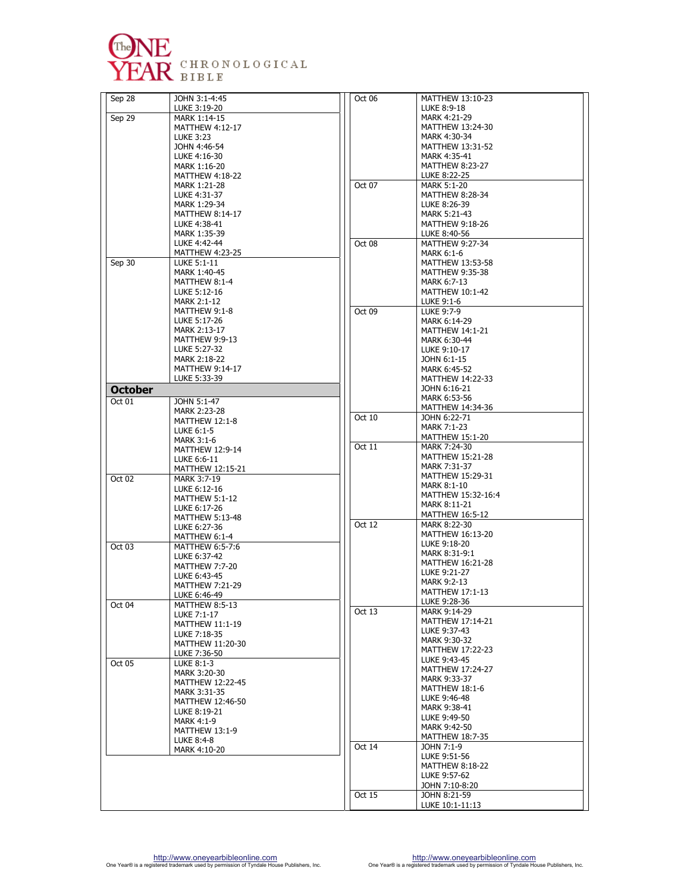

| Sep 28         | JOHN 3:1-4:45                          | Oct 06 | MATTHEW 13:10-23                       |
|----------------|----------------------------------------|--------|----------------------------------------|
|                | LUKE 3:19-20                           |        | LUKE 8:9-18                            |
| Sep 29         | MARK 1:14-15                           |        | MARK 4:21-29                           |
|                | <b>MATTHEW 4:12-17</b>                 |        | MATTHEW 13:24-30                       |
|                | <b>LUKE 3:23</b>                       |        | MARK 4:30-34                           |
|                | JOHN 4:46-54                           |        | MATTHEW 13:31-52                       |
|                | LUKE 4:16-30                           |        | MARK 4:35-41                           |
|                | MARK 1:16-20                           |        | <b>MATTHEW 8:23-27</b>                 |
|                | MATTHEW 4:18-22                        |        | LUKE 8:22-25                           |
|                | MARK 1:21-28                           | Oct 07 | <b>MARK 5:1-20</b>                     |
|                | LUKE 4:31-37                           |        | <b>MATTHEW 8:28-34</b>                 |
|                | MARK 1:29-34                           |        | LUKE 8:26-39                           |
|                | <b>MATTHEW 8:14-17</b><br>LUKE 4:38-41 |        | MARK 5:21-43<br><b>MATTHEW 9:18-26</b> |
|                | MARK 1:35-39                           |        | LUKE 8:40-56                           |
|                | LUKE 4:42-44                           | Oct 08 | MATTHEW 9:27-34                        |
|                | <b>MATTHEW 4:23-25</b>                 |        | <b>MARK 6:1-6</b>                      |
| Sep 30         | LUKE 5:1-11                            |        | MATTHEW 13:53-58                       |
|                | MARK 1:40-45                           |        | <b>MATTHEW 9:35-38</b>                 |
|                | MATTHEW 8:1-4                          |        | MARK 6:7-13                            |
|                | LUKE 5:12-16                           |        | MATTHEW 10:1-42                        |
|                | <b>MARK 2:1-12</b>                     |        | LUKE 9:1-6                             |
|                | MATTHEW 9:1-8                          | Oct 09 | LUKE 9:7-9                             |
|                | LUKE 5:17-26                           |        | MARK 6:14-29                           |
|                | MARK 2:13-17                           |        | <b>MATTHEW 14:1-21</b>                 |
|                | <b>MATTHEW 9:9-13</b>                  |        | MARK 6:30-44                           |
|                | LUKE 5:27-32                           |        | LUKE 9:10-17                           |
|                | MARK 2:18-22                           |        | JOHN 6:1-15                            |
|                | <b>MATTHEW 9:14-17</b>                 |        | MARK 6:45-52                           |
|                | LUKE 5:33-39                           |        | MATTHEW 14:22-33                       |
| <b>October</b> |                                        |        | JOHN 6:16-21                           |
| Oct 01         | JOHN 5:1-47                            |        | MARK 6:53-56                           |
|                | MARK 2:23-28                           |        | MATTHEW 14:34-36                       |
|                | MATTHEW 12:1-8                         | Oct 10 | JOHN 6:22-71                           |
|                | LUKE 6:1-5                             |        | <b>MARK 7:1-23</b>                     |
|                | <b>MARK 3:1-6</b>                      |        | <b>MATTHEW 15:1-20</b>                 |
|                | <b>MATTHEW 12:9-14</b>                 | Oct 11 | MARK 7:24-30                           |
|                | LUKE 6:6-11                            |        | MATTHEW 15:21-28<br>MARK 7:31-37       |
|                | MATTHEW 12:15-21                       |        | MATTHEW 15:29-31                       |
| Oct 02         | MARK 3:7-19                            |        | MARK 8:1-10                            |
|                | LUKE 6:12-16                           |        | MATTHEW 15:32-16:4                     |
|                | <b>MATTHEW 5:1-12</b>                  |        | MARK 8:11-21                           |
|                | LUKE 6:17-26                           |        | MATTHEW 16:5-12                        |
|                | <b>MATTHEW 5:13-48</b><br>LUKE 6:27-36 | Oct 12 | MARK 8:22-30                           |
|                | MATTHEW 6:1-4                          |        | MATTHEW 16:13-20                       |
| Oct 03         | MATTHEW 6:5-7:6                        |        | LUKE 9:18-20                           |
|                | LUKE 6:37-42                           |        | MARK 8:31-9:1                          |
|                | <b>MATTHEW 7:7-20</b>                  |        | MATTHEW 16:21-28                       |
|                | LUKE 6:43-45                           |        | LUKE 9:21-27                           |
|                | <b>MATTHEW 7:21-29</b>                 |        | <b>MARK 9:2-13</b>                     |
|                | LUKE 6:46-49                           |        | <b>MATTHEW 17:1-13</b>                 |
| Oct 04         | MATTHEW 8:5-13                         |        | LUKE 9:28-36                           |
|                | LUKE 7:1-17                            | Oct 13 | MARK 9:14-29                           |
|                | MATTHEW 11:1-19                        |        | MATTHEW 17:14-21                       |
|                | LUKE 7:18-35                           |        | LUKE 9:37-43                           |
|                | MATTHEW 11:20-30                       |        | MARK 9:30-32<br>MATTHEW 17:22-23       |
|                | LUKE 7:36-50                           |        | LUKE 9:43-45                           |
| Oct 05         | LUKE 8:1-3                             |        | MATTHEW 17:24-27                       |
|                | MARK 3:20-30                           |        | MARK 9:33-37                           |
|                | MATTHEW 12:22-45                       |        | MATTHEW 18:1-6                         |
|                | MARK 3:31-35                           |        | LUKE 9:46-48                           |
|                | MATTHEW 12:46-50                       |        | MARK 9:38-41                           |
|                | LUKE 8:19-21                           |        | LUKE 9:49-50                           |
|                | MARK 4:1-9<br><b>MATTHEW 13:1-9</b>    |        | MARK 9:42-50                           |
|                | LUKE 8:4-8                             |        | MATTHEW 18:7-35                        |
|                | MARK 4:10-20                           | Oct 14 | JOHN 7:1-9                             |
|                |                                        |        | LUKE 9:51-56                           |
|                |                                        |        | <b>MATTHEW 8:18-22</b>                 |
|                |                                        |        | LUKE 9:57-62                           |
|                |                                        |        | JOHN 7:10-8:20                         |
|                |                                        | Oct 15 | JOHN 8:21-59                           |
|                |                                        |        | LUKE 10:1-11:13                        |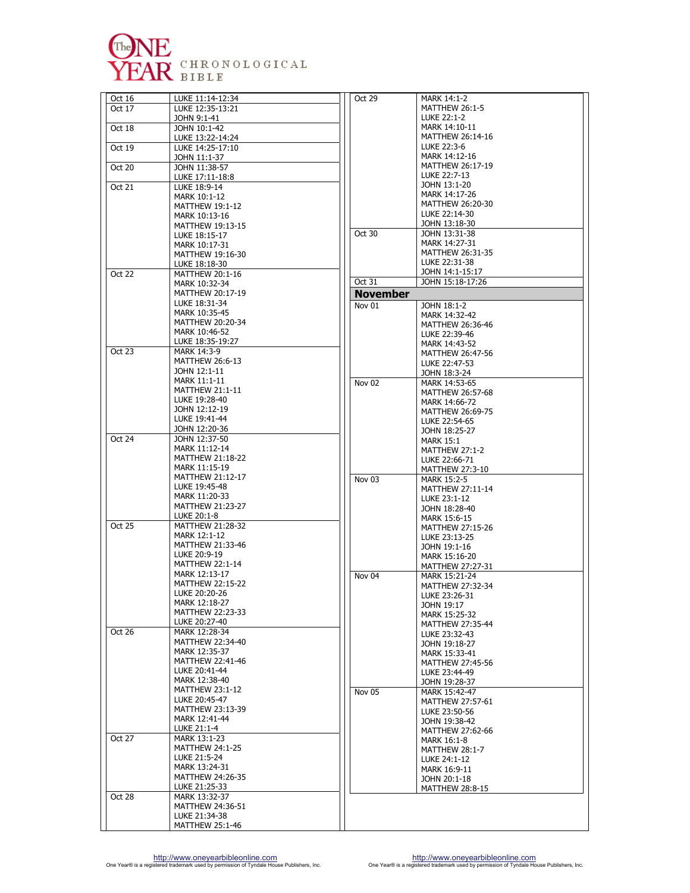

| Oct 16 | LUKE 11:14-12:34                        | Oct 29            | MARK 14:1-2                       |
|--------|-----------------------------------------|-------------------|-----------------------------------|
| Oct 17 | LUKE 12:35-13:21                        |                   | <b>MATTHEW 26</b>                 |
|        | John 9:1-41                             |                   | LUKE 22:1-2<br>MARK 14:10-1       |
| Oct 18 | JOHN 10:1-42<br>LUKE 13:22-14:24        |                   | <b>MATTHEW 26</b>                 |
| Oct 19 | LUKE 14:25-17:10                        |                   | LUKE 22:3-6                       |
|        | JOHN 11:1-37                            |                   | MARK 14:12-1                      |
| Oct 20 | JOHN 11:38-57                           |                   | <b>MATTHEW 26</b><br>LUKE 22:7-13 |
|        | LUKE 17:11-18:8                         |                   | JOHN 13:1-20                      |
| Oct 21 | LUKE 18:9-14<br>MARK 10:1-12            |                   | MARK 14:17-2                      |
|        | <b>MATTHEW 19:1-12</b>                  |                   | <b>MATTHEW 26</b>                 |
|        | MARK 10:13-16                           |                   | LUKE 22:14-3                      |
|        | MATTHEW 19:13-15                        | Oct 30            | JOHN 13:18-3<br>JOHN 13:31-3      |
|        | LUKE 18:15-17<br>MARK 10:17-31          |                   | MARK 14:27-3                      |
|        | MATTHEW 19:16-30                        |                   | MATTHEW 26                        |
|        | LUKE 18:18-30                           |                   | LUKE 22:31-3                      |
| Oct 22 | MATTHEW 20:1-16                         |                   | JOHN 14:1-15                      |
|        | MARK 10:32-34                           | Oct 31            | JOHN 15:18-1                      |
|        | MATTHEW 20:17-19<br>LUKE 18:31-34       | <b>November</b>   |                                   |
|        | MARK 10:35-45                           | Nov 01            | JOHN 18:1-2<br>MARK 14:32-4       |
|        | MATTHEW 20:20-34                        |                   | <b>MATTHEW 26</b>                 |
|        | MARK 10:46-52                           |                   | LUKE 22:39-4                      |
|        | LUKE 18:35-19:27                        |                   | MARK 14:43-5                      |
| Oct 23 | MARK 14:3-9<br><b>MATTHEW 26:6-13</b>   |                   | <b>MATTHEW 26</b>                 |
|        | JOHN 12:1-11                            |                   | LUKE 22:47-5<br>JOHN 18:3-24      |
|        | MARK 11:1-11                            | Nov <sub>02</sub> | MARK 14:53-6                      |
|        | <b>MATTHEW 21:1-11</b>                  |                   | MATTHEW 26                        |
|        | LUKE 19:28-40<br>JOHN 12:12-19          |                   | MARK 14:66-7                      |
|        | LUKE 19:41-44                           |                   | MATTHEW 26<br>LUKE 22:54-6        |
|        | JOHN 12:20-36                           |                   | JOHN 18:25-2                      |
| Oct 24 | JOHN 12:37-50                           |                   | MARK 15:1                         |
|        | MARK 11:12-14                           |                   | <b>MATTHEW 27</b>                 |
|        | MATTHEW 21:18-22<br>MARK 11:15-19       |                   | LUKE 22:66-7                      |
|        | MATTHEW 21:12-17                        | Nov 03            | MATTHEW 27<br>MARK 15:2-5         |
|        | LUKE 19:45-48                           |                   | MATTHEW 27                        |
|        | MARK 11:20-33                           |                   | LUKE 23:1-12                      |
|        | MATTHEW 21:23-27                        |                   | JOHN 18:28-4                      |
| Oct 25 | LUKE 20:1-8<br><b>MATTHEW 21:28-32</b>  |                   | MARK 15:6-15<br><b>MATTHEW 27</b> |
|        | MARK 12:1-12                            |                   | LUKE 23:13-2                      |
|        | MATTHEW 21:33-46                        |                   | JOHN 19:1-16                      |
|        | LUKE 20:9-19                            |                   | MARK 15:16-2                      |
|        | <b>MATTHEW 22:1-14</b><br>MARK 12:13-17 |                   | <b>MATTHEW 27</b>                 |
|        | <b>MATTHEW 22:15-22</b>                 | Nov 04            | MARK 15:21-2<br><b>MATTHEW 27</b> |
|        | LUKE 20:20-26                           |                   | LUKE 23:26-3                      |
|        | MARK 12:18-27                           |                   | JOHN 19:17                        |
|        | MATTHEW 22:23-33                        |                   | MARK 15:25-3                      |
| Oct 26 | LUKE 20:27-40<br>MARK 12:28-34          |                   | <b>MATTHEW 27</b>                 |
|        | MATTHEW 22:34-40                        |                   | LUKE 23:32-4<br>JOHN 19:18-2      |
|        | MARK 12:35-37                           |                   | MARK 15:33-4                      |
|        | MATTHEW 22:41-46                        |                   | <b>MATTHEW 27</b>                 |
|        | LUKE 20:41-44<br>MARK 12:38-40          |                   | LUKE 23:44-4                      |
|        | MATTHEW 23:1-12                         |                   | JOHN 19:28-3                      |
|        | LUKE 20:45-47                           | Nov 05            | MARK 15:42-4<br><b>MATTHEW 27</b> |
|        | MATTHEW 23:13-39                        |                   | LUKE 23:50-5                      |
|        | MARK 12:41-44                           |                   | JOHN 19:38-4                      |
|        | LUKE 21:1-4                             |                   | <b>MATTHEW 27</b>                 |
| Oct 27 | MARK 13:1-23<br><b>MATTHEW 24:1-25</b>  |                   | MARK 16:1-8                       |
|        | LUKE 21:5-24                            |                   | <b>MATTHEW 28</b><br>LUKE 24:1-12 |
|        | MARK 13:24-31                           |                   | MARK 16:9-11                      |
|        | MATTHEW 24:26-35                        |                   | JOHN 20:1-18                      |
|        | LUKE 21:25-33                           |                   | MATTHEW 28                        |
| Oct 28 | MARK 13:32-37<br>MATTHEW 24:36-51       |                   |                                   |
|        | LUKE 21:34-38                           |                   |                                   |
|        | <b>MATTHEW 25:1-46</b>                  |                   |                                   |

| Oct 29            | MARK 14:1-2             |
|-------------------|-------------------------|
|                   | <b>MATTHEW 26:1-5</b>   |
|                   |                         |
|                   | LUKE 22:1-2             |
|                   | MARK 14:10-11           |
|                   |                         |
|                   | MATTHEW 26:14-16        |
|                   | LUKE 22:3-6             |
|                   |                         |
|                   | MARK 14:12-16           |
|                   | MATTHEW 26:17-19        |
|                   |                         |
|                   | LUKE 22:7-13            |
|                   | JOHN 13:1-20            |
|                   | MARK 14:17-26           |
|                   |                         |
|                   | MATTHEW 26:20-30        |
|                   | LUKE 22:14-30           |
|                   |                         |
|                   | JOHN 13:18-30           |
| Oct 30            | JOHN 13:31-38           |
|                   |                         |
|                   | MARK 14:27-31           |
|                   | MATTHEW 26:31-35        |
|                   |                         |
|                   | LUKE 22:31-38           |
|                   | JOHN 14:1-15:17         |
| Oct 31            | JOHN 15:18-17:26        |
|                   |                         |
| <b>November</b>   |                         |
|                   |                         |
| Nov 01            | JOHN 18:1-2             |
|                   | MARK 14:32-42           |
|                   |                         |
|                   | MATTHEW 26:36-46        |
|                   | LUKE 22:39-46           |
|                   |                         |
|                   | MARK 14:43-52           |
|                   | MATTHEW 26:47-56        |
|                   |                         |
|                   | LUKE 22:47-53           |
|                   | JOHN 18:3-24            |
| Nov 02            | MARK 14:53-65           |
|                   |                         |
|                   | MATTHEW 26:57-68        |
|                   | MARK 14:66-72           |
|                   |                         |
|                   | MATTHEW 26:69-75        |
|                   | LUKE 22:54-65           |
|                   |                         |
|                   | JOHN 18:25-27           |
|                   | MARK 15:1               |
|                   |                         |
|                   | <b>MATTHEW 27:1-2</b>   |
|                   | LUKE 22:66-71           |
|                   |                         |
|                   | MATTHEW 27:3-10         |
| Nov 03            | <b>MARK 15:2-5</b>      |
|                   | MATTHEW 27:11-14        |
|                   |                         |
|                   | LUKE 23:1-12            |
|                   | JOHN 18:28-40           |
|                   |                         |
|                   | MARK 15:6-15            |
|                   | MATTHEW 27:15-26        |
|                   |                         |
|                   | LUKE 23:13-25           |
|                   | JOHN 19:1-16            |
|                   | MARK 15:16-20           |
|                   |                         |
|                   | MATTHEW 27:27-31        |
| Nov <sub>04</sub> | MARK 15:21-24           |
|                   |                         |
|                   | MATTHEW 27:32-34        |
|                   | LUKE 23:26-31           |
|                   |                         |
|                   | JOHN 19:17              |
|                   | MARK 15:25-32           |
|                   | MATTHEW 27:35-44        |
|                   |                         |
|                   | LUKE 23:32-43           |
|                   | JOHN 19:18-27           |
|                   | MARK 15:33-41           |
|                   |                         |
|                   | <b>MATTHEW 27:45-56</b> |
|                   | LUKE 23:44-49           |
|                   |                         |
|                   | JOHN 19:28-37           |
| Nov 05            | MARK 15:42-47           |
|                   |                         |
|                   | MATTHEW 27:57-61        |
|                   | LUKE 23:50-56           |
|                   |                         |
|                   | JOHN 19:38-42           |
|                   | MATTHEW 27:62-66        |
|                   |                         |
|                   | MARK 16:1-8             |
|                   | <b>MATTHEW 28:1-7</b>   |
|                   |                         |
|                   | LUKE 24:1-12            |
|                   | MARK 16:9-11            |
|                   | JOHN 20:1-18            |
|                   |                         |
|                   | <b>MATTHEW 28:8-15</b>  |
|                   |                         |
|                   |                         |